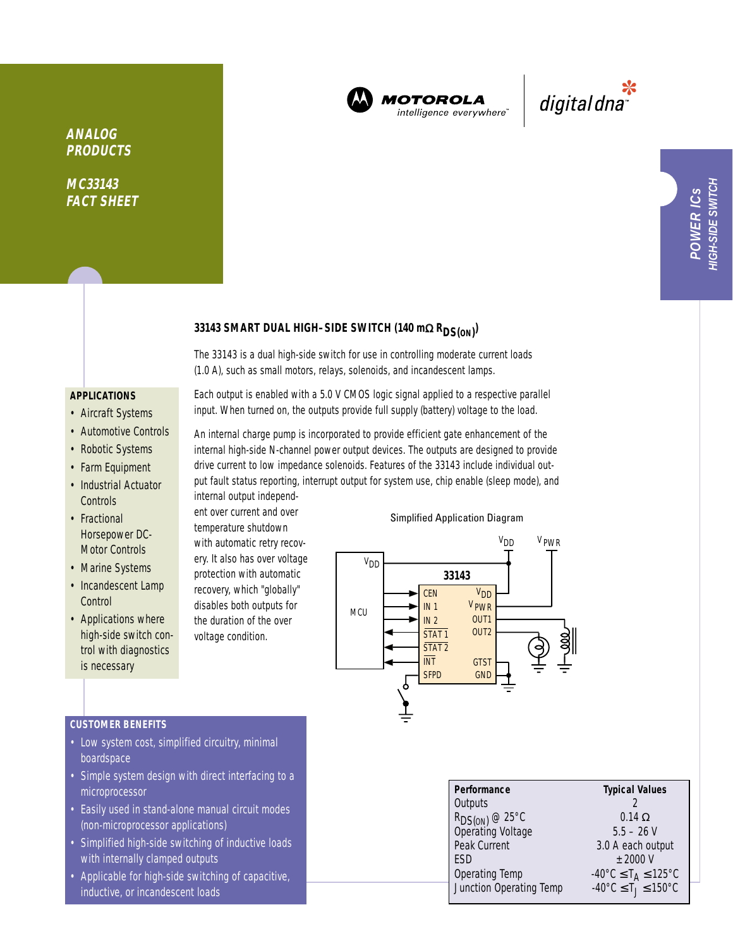

**MOTOROLA** intelligence everywhere<sup>®</sup>

\*<br>"digital dna

**ANALOG PRODUCTS**

**MC33143 FACT SHEET**

# **33143 SMART DUAL HIGH–SIDE SWITCH (140 m**<sup>Ω</sup> **RDS(ON) )**

The 33143 is a dual high-side switch for use in controlling moderate current loads (1.0 A), such as small motors, relays, solenoids, and incandescent lamps.

### **APPLICATIONS**

- Aircraft Systems
- Automotive Controls
- Robotic Systems
- Farm Equipment
- Industrial Actuator **Controls**
- Fractional Horsepower DC-Motor Controls
- Marine Systems
- Incandescent Lamp **Control**
- Applications where high-side switch control with diagnostics is necessary

Each output is enabled with a 5.0 V CMOS logic signal applied to a respective parallel input. When turned on, the outputs provide full supply (battery) voltage to the load.

An internal charge pump is incorporated to provide efficient gate enhancement of the internal high-side N-channel power output devices. The outputs are designed to provide drive current to low impedance solenoids. Features of the 33143 include individual output fault status reporting, interrupt output for system use, chip enable (sleep mode), and internal output independ-

ent over current and over temperature shutdown with automatic retry recovery. It also has over voltage protection with automatic recovery, which "globally" disables both outputs for the duration of the over voltage condition.

#### Simplified Application Diagram



## **CUSTOMER BENEFITS**

- Low system cost, simplified circuitry, minimal boardspace
- Simple system design with direct interfacing to a microprocessor
- Easily used in stand-alone manual circuit modes (non-microprocessor applications)
- Simplified high-side switching of inductive loads with internally clamped outputs
- Applicable for high-side switching of capacitive, inductive, or incandescent loads

| Performance                                     | <b>Typical Values</b>                                         |
|-------------------------------------------------|---------------------------------------------------------------|
| Outputs                                         |                                                               |
| R <sub>DS(ON)</sub> @ 25°C<br>Operating Voltage | $0.14 \Omega$                                                 |
|                                                 | $5.5 - 26$ V                                                  |
| Peak Current                                    | 3.0 A each output                                             |
| <b>FSD</b>                                      | $+2000V$                                                      |
| Operating Temp                                  | $-40^{\circ}$ C $\leq$ T <sub>A</sub> $\leq$ 125 $^{\circ}$ C |
| Junction Operating Temp                         | $-40^{\circ}$ C $\leq$ T $\leq$ 150°C                         |
|                                                 |                                                               |